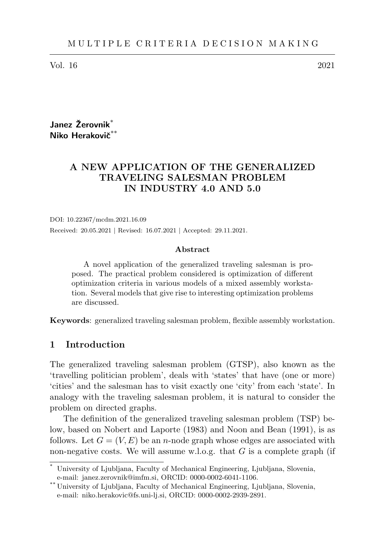Vol. 16 2021

Janez Žerovnik<sup>\*</sup> Niko Herakovič<sup>\*</sup>

# A NEW APPLICATION OF THE GENERALIZED TRAVELING SALESMAN PROBLEM IN INDUSTRY 4.0 AND 5.0

DOI: 10.22367/mcdm.2021.16.09 Received: 20.05.2021 | Revised: 16.07.2021 | Accepted: 29.11.2021.

#### Abstract

A novel application of the generalized traveling salesman is proposed. The practical problem considered is optimization of different optimization criteria in various models of a mixed assembly workstation. Several models that give rise to interesting optimization problems are discussed.

Keywords: generalized traveling salesman problem, flexible assembly workstation.

## 1 Introduction

The generalized traveling salesman problem (GTSP), also known as the 'travelling politician problem', deals with 'states' that have (one or more) 'cities' and the salesman has to visit exactly one 'city' from each 'state'. In analogy with the traveling salesman problem, it is natural to consider the problem on directed graphs.

The definition of the generalized traveling salesman problem (TSP) below, based on Nobert and Laporte (1983) and Noon and Bean (1991), is as follows. Let  $G = (V, E)$  be an *n*-node graph whose edges are associated with non-negative costs. We will assume w.l.o.g. that  $G$  is a complete graph (if

University of Ljubljana, Faculty of Mechanical Engineering, Ljubljana, Slovenia, e-mail: janez.zerovnik@imfm.si, ORCID: 0000-0002-6041-1106.

<sup>\*\*</sup> University of Ljubljana, Faculty of Mechanical Engineering, Ljubljana, Slovenia, e-mail: niko.herakovic@fs.uni-lj.si, ORCID: 0000-0002-2939-2891.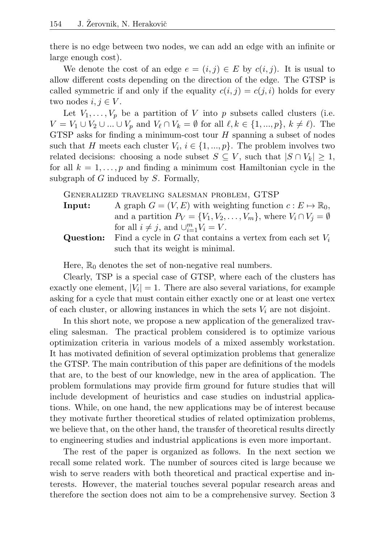there is no edge between two nodes, we can add an edge with an infinite or large enough cost).

We denote the cost of an edge  $e = (i, j) \in E$  by  $c(i, j)$ . It is usual to allow different costs depending on the direction of the edge. The GTSP is called symmetric if and only if the equality  $c(i, j) = c(j, i)$  holds for every two nodes  $i, j \in V$ .

Let  $V_1, \ldots, V_p$  be a partition of V into p subsets called clusters (i.e.  $V = V_1 \cup V_2 \cup ... \cup V_p$  and  $V_\ell \cap V_k = \emptyset$  for all  $\ell, k \in \{1, ..., p\}, k \neq \ell$ . The GTSP asks for finding a minimum-cost tour  $H$  spanning a subset of nodes such that H meets each cluster  $V_i$ ,  $i \in \{1, ..., p\}$ . The problem involves two related decisions: choosing a node subset  $S \subseteq V$ , such that  $|S \cap V_k| \geq 1$ , for all  $k = 1, \ldots, p$  and finding a minimum cost Hamiltonian cycle in the subgraph of  $G$  induced by  $S$ . Formally,

Generalized traveling salesman problem, GTSP

- **Input:** A graph  $G = (V, E)$  with weighting function  $c : E \mapsto \mathbb{R}_0$ , and a partition  $P_V = \{V_1, V_2, \ldots, V_m\}$ , where  $V_i \cap V_j = \emptyset$ for all  $i \neq j$ , and  $\cup_{i=1}^{m} V_i = V$ .
- Question: Find a cycle in G that contains a vertex from each set  $V_i$ such that its weight is minimal.

Here,  $\mathbb{R}_0$  denotes the set of non-negative real numbers.

Clearly, TSP is a special case of GTSP, where each of the clusters has exactly one element,  $|V_i| = 1$ . There are also several variations, for example asking for a cycle that must contain either exactly one or at least one vertex of each cluster, or allowing instances in which the sets  $V_i$  are not disjoint.

In this short note, we propose a new application of the generalized traveling salesman. The practical problem considered is to optimize various optimization criteria in various models of a mixed assembly workstation. It has motivated definition of several optimization problems that generalize the GTSP. The main contribution of this paper are definitions of the models that are, to the best of our knowledge, new in the area of application. The problem formulations may provide firm ground for future studies that will include development of heuristics and case studies on industrial applications. While, on one hand, the new applications may be of interest because they motivate further theoretical studies of related optimization problems, we believe that, on the other hand, the transfer of theoretical results directly to engineering studies and industrial applications is even more important.

The rest of the paper is organized as follows. In the next section we recall some related work. The number of sources cited is large because we wish to serve readers with both theoretical and practical expertise and interests. However, the material touches several popular research areas and therefore the section does not aim to be a comprehensive survey. Section 3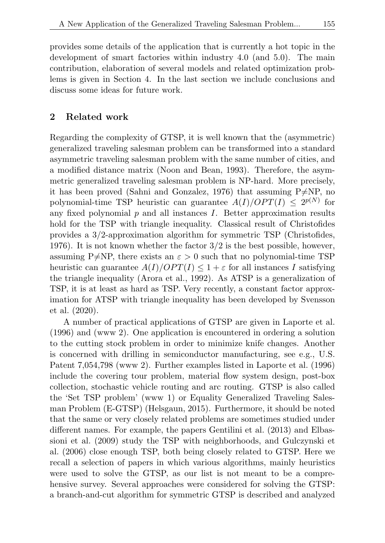provides some details of the application that is currently a hot topic in the development of smart factories within industry 4.0 (and 5.0). The main contribution, elaboration of several models and related optimization problems is given in Section 4. In the last section we include conclusions and discuss some ideas for future work.

## 2 Related work

Regarding the complexity of GTSP, it is well known that the (asymmetric) generalized traveling salesman problem can be transformed into a standard asymmetric traveling salesman problem with the same number of cities, and a modified distance matrix (Noon and Bean, 1993). Therefore, the asymmetric generalized traveling salesman problem is NP-hard. More precisely, it has been proved (Sahni and Gonzalez, 1976) that assuming  $P\neq NP$ , no polynomial-time TSP heuristic can guarantee  $A(I)/OPT(I) \leq 2^{p(N)}$  for any fixed polynomial  $p$  and all instances  $I$ . Better approximation results hold for the TSP with triangle inequality. Classical result of Christofides provides a 3/2-approximation algorithm for symmetric TSP (Christofides, 1976). It is not known whether the factor 3/2 is the best possible, however, assuming P $\neq$ NP, there exists an  $\varepsilon > 0$  such that no polynomial-time TSP heuristic can guarantee  $A(I)/OPT(I) \leq 1 + \varepsilon$  for all instances I satisfying the triangle inequality (Arora et al., 1992). As ATSP is a generalization of TSP, it is at least as hard as TSP. Very recently, a constant factor approximation for ATSP with triangle inequality has been developed by Svensson et al. (2020).

A number of practical applications of GTSP are given in Laporte et al. (1996) and (www 2). One application is encountered in ordering a solution to the cutting stock problem in order to minimize knife changes. Another is concerned with drilling in semiconductor manufacturing, see e.g., U.S. Patent 7,054,798 (www 2). Further examples listed in Laporte et al. (1996) include the covering tour problem, material flow system design, post-box collection, stochastic vehicle routing and arc routing. GTSP is also called the 'Set TSP problem' (www 1) or Equality Generalized Traveling Salesman Problem (E-GTSP) (Helsgaun, 2015). Furthermore, it should be noted that the same or very closely related problems are sometimes studied under different names. For example, the papers Gentilini et al. (2013) and Elbassioni et al. (2009) study the TSP with neighborhoods, and Gulczynski et al. (2006) close enough TSP, both being closely related to GTSP. Here we recall a selection of papers in which various algorithms, mainly heuristics were used to solve the GTSP, as our list is not meant to be a comprehensive survey. Several approaches were considered for solving the GTSP: a branch-and-cut algorithm for symmetric GTSP is described and analyzed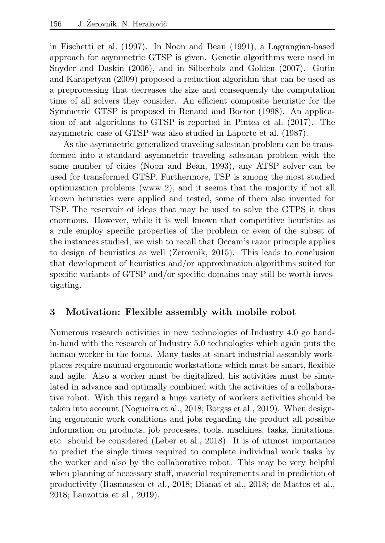in Fischetti et al. (1997). In Noon and Bean (1991), a Lagrangian-based approach for asymmetric GTSP is given. Genetic algorithms were used in Snyder and Daskin (2006), and in Silberholz and Golden (2007). Gutin and Karapetyan (2009) proposed a reduction algorithm that can be used as a preprocessing that decreases the size and consequently the computation time of all solvers they consider. An efficient composite heuristic for the Symmetric GTSP is proposed in Renaud and Boctor (1998). An application of ant algorithms to GTSP is reported in Pintea et al. (2017). The asymmetric case of GTSP was also studied in Laporte et al. (1987).

As the asymmetric generalized traveling salesman problem can be transformed into a standard asymmetric traveling salesman problem with the same number of cities (Noon and Bean, 1993), any ATSP solver can be used for transformed GTSP. Furthermore, TSP is among the most studied optimization problems (www 2), and it seems that the majority if not all known heuristics were applied and tested, some of them also invented for TSP. The reservoir of ideas that may be used to solve the GTPS it thus enormous. However, while it is well known that competitive heuristics as a rule employ specific properties of the problem or even of the subset of the instances studied, we wish to recall that Occam's razor principle applies to design of heuristics as well ( $\check{Z}$ erovnik, 2015). This leads to conclusion that development of heuristics and/or approximation algorithms suited for specific variants of GTSP and/or specific domains may still be worth investigating.

# 3 Motivation: Flexible assembly with mobile robot

Numerous research activities in new technologies of Industry 4.0 go handin-hand with the research of Industry 5.0 technologies which again puts the human worker in the focus. Many tasks at smart industrial assembly workplaces require manual ergonomic workstations which must be smart, flexible and agile. Also a worker must be digitalized, his activities must be simulated in advance and optimally combined with the activities of a collaborative robot. With this regard a huge variety of workers activities should be taken into account (Nogueira et al., 2018; Borgss et al., 2019). When designing ergonomic work conditions and jobs regarding the product all possible information on products, job processes, tools, machines, tasks, limitations, etc. should be considered (Leber et al., 2018). It is of utmost importance to predict the single times required to complete individual work tasks by the worker and also by the collaborative robot. This may be very helpful when planning of necessary staff, material requirements and in prediction of productivity (Rasmussen et al., 2018; Dianat et al., 2018; de Mattos et al., 2018; Lanzottia et al., 2019).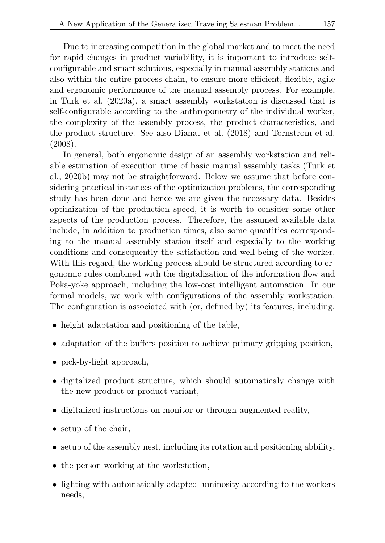Due to increasing competition in the global market and to meet the need for rapid changes in product variability, it is important to introduce selfconfigurable and smart solutions, especially in manual assembly stations and also within the entire process chain, to ensure more efficient, flexible, agile and ergonomic performance of the manual assembly process. For example, in Turk et al. (2020a), a smart assembly workstation is discussed that is self-configurable according to the anthropometry of the individual worker, the complexity of the assembly process, the product characteristics, and the product structure. See also Dianat et al. (2018) and Tornstrom et al. (2008).

In general, both ergonomic design of an assembly workstation and reliable estimation of execution time of basic manual assembly tasks (Turk et al., 2020b) may not be straightforward. Below we assume that before considering practical instances of the optimization problems, the corresponding study has been done and hence we are given the necessary data. Besides optimization of the production speed, it is worth to consider some other aspects of the production process. Therefore, the assumed available data include, in addition to production times, also some quantities corresponding to the manual assembly station itself and especially to the working conditions and consequently the satisfaction and well-being of the worker. With this regard, the working process should be structured according to ergonomic rules combined with the digitalization of the information flow and Poka-yoke approach, including the low-cost intelligent automation. In our formal models, we work with configurations of the assembly workstation. The configuration is associated with (or, defined by) its features, including:

- height adaptation and positioning of the table,
- adaptation of the buffers position to achieve primary gripping position,
- pick-by-light approach,
- digitalized product structure, which should automaticaly change with the new product or product variant,
- digitalized instructions on monitor or through augmented reality,
- setup of the chair,
- setup of the assembly nest, including its rotation and positioning abbility,
- the person working at the workstation,
- lighting with automatically adapted luminosity according to the workers needs,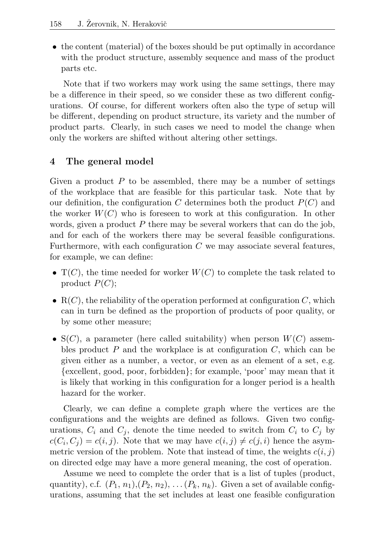• the content (material) of the boxes should be put optimally in accordance with the product structure, assembly sequence and mass of the product parts etc.

Note that if two workers may work using the same settings, there may be a difference in their speed, so we consider these as two different configurations. Of course, for different workers often also the type of setup will be different, depending on product structure, its variety and the number of product parts. Clearly, in such cases we need to model the change when only the workers are shifted without altering other settings.

# 4 The general model

Given a product  $P$  to be assembled, there may be a number of settings of the workplace that are feasible for this particular task. Note that by our definition, the configuration C determines both the product  $P(C)$  and the worker  $W(C)$  who is foreseen to work at this configuration. In other words, given a product  $P$  there may be several workers that can do the job, and for each of the workers there may be several feasible configurations. Furthermore, with each configuration  $C$  we may associate several features, for example, we can define:

- $T(C)$ , the time needed for worker  $W(C)$  to complete the task related to product  $P(C)$ ;
- $R(C)$ , the reliability of the operation performed at configuration C, which can in turn be defined as the proportion of products of poor quality, or by some other measure;
- $S(C)$ , a parameter (here called suitability) when person  $W(C)$  assembles product  $P$  and the workplace is at configuration  $C$ , which can be given either as a number, a vector, or even as an element of a set, e.g. {excellent, good, poor, forbidden}; for example, 'poor' may mean that it is likely that working in this configuration for a longer period is a health hazard for the worker.

Clearly, we can define a complete graph where the vertices are the configurations and the weights are defined as follows. Given two configurations,  $C_i$  and  $C_j$ , denote the time needed to switch from  $C_i$  to  $C_j$  by  $c(C_i, C_j) = c(i, j)$ . Note that we may have  $c(i, j) \neq c(j, i)$  hence the asymmetric version of the problem. Note that instead of time, the weights  $c(i, j)$ on directed edge may have a more general meaning, the cost of operation.

Assume we need to complete the order that is a list of tuples (product, quantity), c.f.  $(P_1, n_1), (P_2, n_2), \ldots, (P_k, n_k)$ . Given a set of available configurations, assuming that the set includes at least one feasible configuration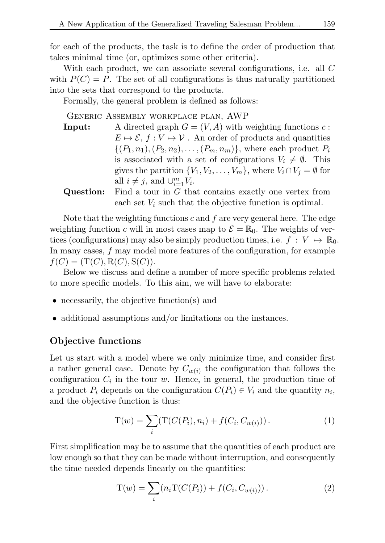for each of the products, the task is to define the order of production that takes minimal time (or, optimizes some other criteria).

With each product, we can associate several configurations, i.e. all C with  $P(C) = P$ . The set of all configurations is thus naturally partitioned into the sets that correspond to the products.

Formally, the general problem is defined as follows:

#### Generic Assembly workplace plan, AWP

**Input:** A directed graph  $G = (V, A)$  with weighting functions c:  $E \mapsto \mathcal{E}, f : V \mapsto \mathcal{V}$ . An order of products and quantities  $\{(P_1, n_1), (P_2, n_2), \ldots, (P_m, n_m)\}\,$  where each product  $P_i$ is associated with a set of configurations  $V_i \neq \emptyset$ . This gives the partition  $\{V_1, V_2, \ldots, V_m\}$ , where  $V_i \cap V_j = \emptyset$  for all  $i \neq j$ , and  $\cup_{i=1}^{m} V_i$ .

**Question:** Find a tour in 
$$
G
$$
 that contains exactly one vertex from each set  $V_i$  such that the objective function is optimal.

Note that the weighting functions  $c$  and  $f$  are very general here. The edge weighting function c will in most cases map to  $\mathcal{E} = \mathbb{R}_0$ . The weights of vertices (configurations) may also be simply production times, i.e.  $f: V \mapsto \mathbb{R}_0$ . In many cases, f may model more features of the configuration, for example  $f(C) = (T(C), R(C), S(C)).$ 

Below we discuss and define a number of more specific problems related to more specific models. To this aim, we will have to elaborate:

- necessarily, the objective function(s) and
- additional assumptions and/or limitations on the instances.

### Objective functions

Let us start with a model where we only minimize time, and consider first a rather general case. Denote by  $C_{w(i)}$  the configuration that follows the configuration  $C_i$  in the tour w. Hence, in general, the production time of a product  $P_i$  depends on the configuration  $C(P_i) \in V_i$  and the quantity  $n_i$ , and the objective function is thus:

$$
T(w) = \sum_{i} (T(C(P_i), n_i) + f(C_i, C_{w(i)})).
$$
\n(1)

First simplification may be to assume that the quantities of each product are low enough so that they can be made without interruption, and consequently the time needed depends linearly on the quantities:

$$
T(w) = \sum_{i} (n_i T(C(P_i)) + f(C_i, C_{w(i)})).
$$
\n(2)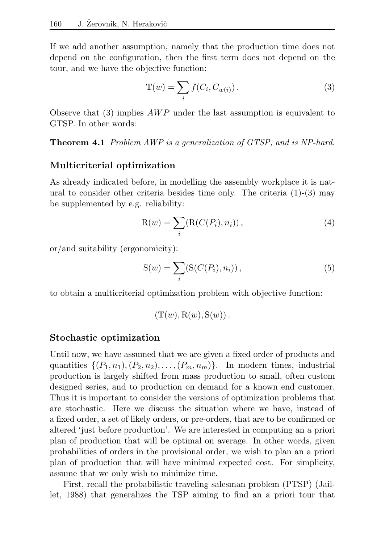If we add another assumption, namely that the production time does not depend on the configuration, then the first term does not depend on the tour, and we have the objective function:

$$
T(w) = \sum_{i} f(C_i, C_{w(i)}).
$$
\n(3)

Observe that (3) implies  $AWP$  under the last assumption is equivalent to GTSP. In other words:

Theorem 4.1 Problem AWP is a generalization of GTSP, and is NP-hard.

## Multicriterial optimization

As already indicated before, in modelling the assembly workplace it is natural to consider other criteria besides time only. The criteria (1)-(3) may be supplemented by e.g. reliability:

$$
R(w) = \sum_{i} (R(C(P_i), n_i)), \qquad (4)
$$

or/and suitability (ergonomicity):

$$
S(w) = \sum_{i} (S(C(P_i), n_i)),
$$
\n(5)

to obtain a multicriterial optimization problem with objective function:

$$
(T(w), R(w), S(w)).
$$

### Stochastic optimization

Until now, we have assumed that we are given a fixed order of products and quantities  $\{(P_1, n_1), (P_2, n_2), \ldots, (P_m, n_m)\}\$ . In modern times, industrial production is largely shifted from mass production to small, often custom designed series, and to production on demand for a known end customer. Thus it is important to consider the versions of optimization problems that are stochastic. Here we discuss the situation where we have, instead of a fixed order, a set of likely orders, or pre-orders, that are to be confirmed or altered 'just before production'. We are interested in computing an a priori plan of production that will be optimal on average. In other words, given probabilities of orders in the provisional order, we wish to plan an a priori plan of production that will have minimal expected cost. For simplicity, assume that we only wish to minimize time.

First, recall the probabilistic traveling salesman problem (PTSP) (Jaillet, 1988) that generalizes the TSP aiming to find an a priori tour that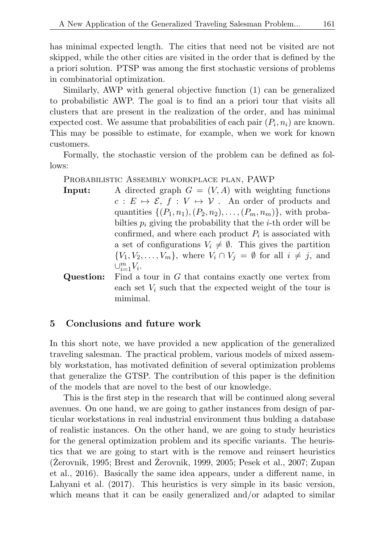has minimal expected length. The cities that need not be visited are not skipped, while the other cities are visited in the order that is defined by the a priori solution. PTSP was among the first stochastic versions of problems in combinatorial optimization.

Similarly, AWP with general objective function (1) can be generalized to probabilistic AWP. The goal is to find an a priori tour that visits all clusters that are present in the realization of the order, and has minimal expected cost. We assume that probabilities of each pair  $(P_i, n_i)$  are known. This may be possible to estimate, for example, when we work for known customers.

Formally, the stochastic version of the problem can be defined as follows:

PROBABILISTIC ASSEMBLY WORKPLACE PLAN, PAWP

**Input:** A directed graph  $G = (V, A)$  with weighting functions  $c : E \mapsto \mathcal{E}, f : V \mapsto \mathcal{V}$ . An order of products and quantities  $\{(P_1, n_1), (P_2, n_2), \ldots, (P_m, n_m)\}\$ , with probabilties  $p_i$  giving the probability that the *i*-th order will be confirmed, and where each product  $P_i$  is associated with a set of configurations  $V_i \neq \emptyset$ . This gives the partition  $\{V_1, V_2, \ldots, V_m\}$ , where  $V_i \cap V_j = \emptyset$  for all  $i \neq j$ , and  $\cup_{i=1}^m V_i$ .

Question: Find a tour in G that contains exactly one vertex from each set  $V_i$  such that the expected weight of the tour is mimimal.

## 5 Conclusions and future work

In this short note, we have provided a new application of the generalized traveling salesman. The practical problem, various models of mixed assembly workstation, has motivated definition of several optimization problems that generalize the GTSP. The contribution of this paper is the definition of the models that are novel to the best of our knowledge.

This is the first step in the research that will be continued along several avenues. On one hand, we are going to gather instances from design of particular workstations in real industrial environment thus bulding a database of realistic instances. On the other hand, we are going to study heuristics for the general optimization problem and its specific variants. The heuristics that we are going to start with is the remove and reinsert heuristics  $(Zerovnik, 1995; Brest and Zerovnik, 1999, 2005; Pesek et al., 2007; Zupan$ et al., 2016). Basically the same idea appears, under a different name, in Lahyani et al. (2017). This heuristics is very simple in its basic version, which means that it can be easily generalized and/or adapted to similar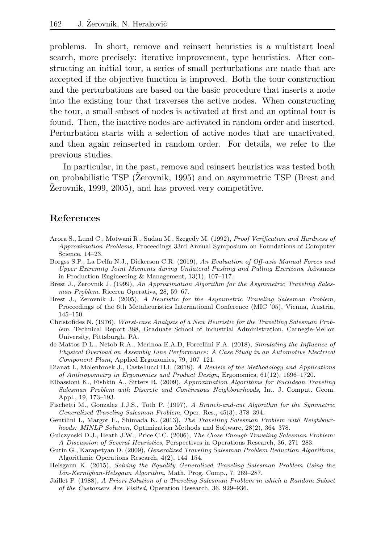problems. In short, remove and reinsert heuristics is a multistart local search, more precisely: iterative improvement, type heuristics. After constructing an initial tour, a series of small perturbations are made that are accepted if the objective function is improved. Both the tour construction and the perturbations are based on the basic procedure that inserts a node into the existing tour that traverses the active nodes. When constructing the tour, a small subset of nodes is activated at first and an optimal tour is found. Then, the inactive nodes are activated in random order and inserted. Perturbation starts with a selection of active nodes that are unactivated, and then again reinserted in random order. For details, we refer to the previous studies.

In particular, in the past, remove and reinsert heuristics was tested both on probabilistic TSP (Zerovnik, 1995) and on asymmetric TSP (Brest and Zerovnik, 1999, 2005), and has proved very competitive.

### References

- Arora S., Lund C., Motwani R., Sudan M., Szegedy M. (1992), Proof Verification and Hardness of Approximation Problems, Proceedings 33rd Annual Symposium on Foundations of Computer Science, 14–23.
- Borgss S.P., La Delfa N.J., Dickerson C.R. (2019), An Evaluation of Off-axis Manual Forces and Upper Extremity Joint Moments during Unilateral Pushing and Pulling Exertions, Advances in Production Engineering & Management, 13(1), 107–117.
- Brest J., Zerovnik J. (1999), An Approximation Algorithm for the Asymmetric Traveling Salesman Problem, Ricerca Operativa, 28, 59–67.
- Brest J., Žerovnik J. (2005), A Heuristic for the Asymmetric Traveling Salesman Problem, Proceedings of the 6th Metaheuristics International Conference (MIC '05), Vienna, Austria, 145–150.
- Christofides N. (1976), Worst-case Analysis of a New Heuristic for the Travelling Salesman Problem, Technical Report 388, Graduate School of Industrial Administration, Carnegie-Mellon University, Pittsburgh, PA.
- de Mattos D.L., Netob R.A., Merinoa E.A.D, Forcellini F.A. (2018), Simulating the Influence of Physical Overload on Assembly Line Performance: A Case Study in an Automotive Electrical Component Plant, Applied Ergonomics, 79, 107–121.
- Dianat I., Molenbroek J., Castellucci H.I. (2018), A Review of the Methodology and Applications of Anthropometry in Ergonomics and Product Design, Ergonomics, 61(12), 1696–1720.
- Elbassioni K., Fishkin A., Sitters R. (2009), Approximation Algorithms for Euclidean Traveling Salesman Problem with Discrete and Continuous Neighbourhoods, Int. J. Comput. Geom. Appl., 19, 173–193.
- Fischetti M., Gonzalez J.J.S., Toth P. (1997), A Branch-and-cut Algorithm for the Symmetric Generalized Traveling Salesman Problem, Oper. Res., 45(3), 378–394.
- Gentilini I., Margot F., Shimada K. (2013), The Travelling Salesman Problem with Neighbourhoods: MINLP Solution, Optimization Methods and Software, 28(2), 364–378.
- Gulczynski D.J., Heath J.W., Price C.C. (2006), The Close Enough Traveling Salesman Problem: A Discussion of Several Heuristics, Perspectives in Operations Research, 36, 271–283.
- Gutin G., Karapetyan D. (2009), Generalized Traveling Salesman Problem Reduction Algorithms, Algorithmic Operations Research, 4(2), 144–154.
- Helsgaun K. (2015), Solving the Equality Generalized Traveling Salesman Problem Using the Lin-Kernighan-Helsgaun Algorithm, Math. Prog. Comp., 7, 269–287.
- Jaillet P. (1988), A Priori Solution of a Traveling Salesman Problem in which a Random Subset of the Customers Are Visited, Operation Research, 36, 929–936.